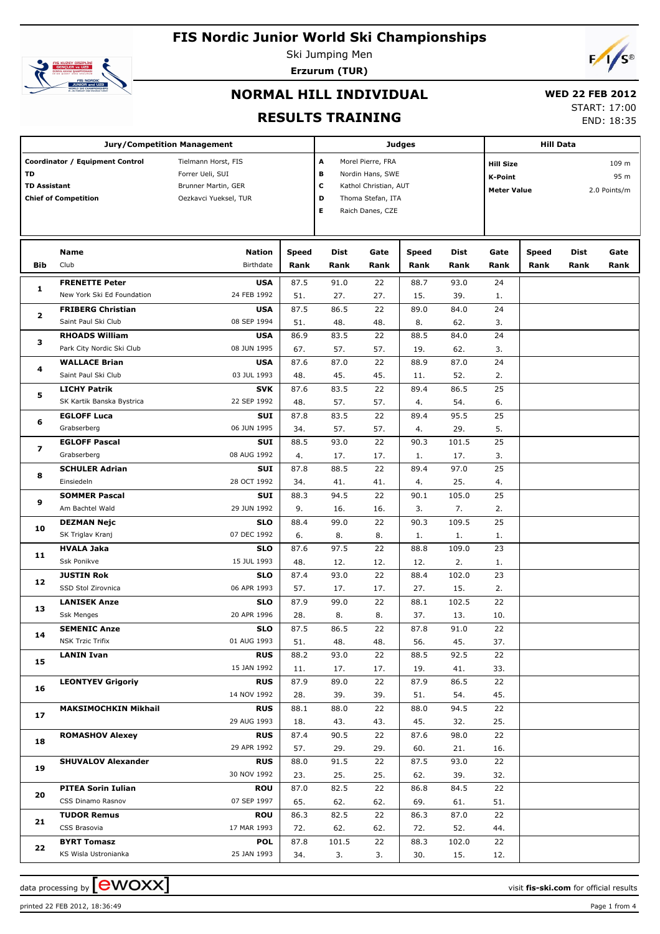

Ski Jumping Men **Erzurum (TUR)**



# **NORMAL HILL INDIVIDUAL**

#### **WED 22**

**RESULTS TRAINING**

|  | /ED 22 FEB 2012 |  |
|--|-----------------|--|
|  | START: 17:00    |  |
|  |                 |  |

END: 18:35

|     | <b>Jury/Competition Management</b>                                                                                                                                                                                                                                                                                   |                           |              | <b>Judges</b> |           | <b>Hill Data</b> |              |                                                                                    |              |      |      |  |
|-----|----------------------------------------------------------------------------------------------------------------------------------------------------------------------------------------------------------------------------------------------------------------------------------------------------------------------|---------------------------|--------------|---------------|-----------|------------------|--------------|------------------------------------------------------------------------------------|--------------|------|------|--|
| TD  | Coordinator / Equipment Control<br>Tielmann Horst, FIS<br>Α<br>Morel Pierre, FRA<br>Forrer Ueli, SUI<br>в<br>Nordin Hans, SWE<br>c<br><b>TD Assistant</b><br>Kathol Christian, AUT<br>Brunner Martin, GER<br><b>Chief of Competition</b><br>Oezkavci Yueksel, TUR<br>D<br>Thoma Stefan, ITA<br>Е<br>Raich Danes, CZE |                           |              |               |           |                  |              | <b>Hill Size</b><br>109 m<br>95 m<br>K-Point<br><b>Meter Value</b><br>2.0 Points/m |              |      |      |  |
|     | Name                                                                                                                                                                                                                                                                                                                 | <b>Nation</b>             | <b>Speed</b> | Dist          | Gate      | <b>Speed</b>     | Dist         | Gate                                                                               | <b>Speed</b> | Dist | Gate |  |
| Bib | Club                                                                                                                                                                                                                                                                                                                 | Birthdate                 | Rank         | Rank          | Rank      | Rank             | Rank         | Rank                                                                               | Rank         | Rank | Rank |  |
| 1   | <b>FRENETTE Peter</b>                                                                                                                                                                                                                                                                                                | <b>USA</b>                | 87.5         | 91.0          | 22        | 88.7             | 93.0         | 24                                                                                 |              |      |      |  |
|     | New York Ski Ed Foundation                                                                                                                                                                                                                                                                                           | 24 FEB 1992               | 51.          | 27.           | 27.       | 15.              | 39.          | 1.                                                                                 |              |      |      |  |
| 2   | <b>FRIBERG Christian</b>                                                                                                                                                                                                                                                                                             | <b>USA</b>                | 87.5         | 86.5          | 22        | 89.0             | 84.0         | 24                                                                                 |              |      |      |  |
|     | Saint Paul Ski Club                                                                                                                                                                                                                                                                                                  | 08 SEP 1994               | 51.          | 48.           | 48.       | 8.               | 62.          | 3.                                                                                 |              |      |      |  |
| з   | <b>RHOADS William</b>                                                                                                                                                                                                                                                                                                | <b>USA</b>                | 86.9         | 83.5          | 22        | 88.5             | 84.0         | 24                                                                                 |              |      |      |  |
|     | Park City Nordic Ski Club                                                                                                                                                                                                                                                                                            | 08 JUN 1995               | 67.          | 57.           | 57.       | 19.              | 62.          | 3.                                                                                 |              |      |      |  |
| 4   | <b>WALLACE Brian</b>                                                                                                                                                                                                                                                                                                 | <b>USA</b>                | 87.6         | 87.0          | 22        | 88.9             | 87.0         | 24                                                                                 |              |      |      |  |
|     | Saint Paul Ski Club                                                                                                                                                                                                                                                                                                  | 03 JUL 1993               | 48.          | 45.           | 45.       | 11.              | 52.          | 2.                                                                                 |              |      |      |  |
| 5   | <b>LICHY Patrik</b>                                                                                                                                                                                                                                                                                                  | <b>SVK</b><br>22 SEP 1992 | 87.6         | 83.5          | 22        | 89.4             | 86.5         | 25                                                                                 |              |      |      |  |
|     | SK Kartik Banska Bystrica<br><b>EGLOFF Luca</b>                                                                                                                                                                                                                                                                      | SUI                       | 48.<br>87.8  | 57.           | 57.<br>22 | 4.<br>89.4       | 54.<br>95.5  | 6.                                                                                 |              |      |      |  |
| 6   | Grabserberg                                                                                                                                                                                                                                                                                                          | 06 JUN 1995               | 34.          | 83.5<br>57.   | 57.       | 4.               | 29.          | 25<br>5.                                                                           |              |      |      |  |
|     | <b>EGLOFF Pascal</b>                                                                                                                                                                                                                                                                                                 | SUI                       | 88.5         | 93.0          | 22        | 90.3             | 101.5        | 25                                                                                 |              |      |      |  |
| 7   | Grabserberg                                                                                                                                                                                                                                                                                                          | 08 AUG 1992               | 4.           | 17.           | 17.       | 1.               | 17.          | 3.                                                                                 |              |      |      |  |
|     | <b>SCHULER Adrian</b>                                                                                                                                                                                                                                                                                                | SUI                       | 87.8         | 88.5          | 22        | 89.4             | 97.0         | 25                                                                                 |              |      |      |  |
| 8   | Einsiedeln                                                                                                                                                                                                                                                                                                           | 28 OCT 1992               | 34.          | 41.           | 41.       | 4.               | 25.          | 4.                                                                                 |              |      |      |  |
|     | <b>SOMMER Pascal</b>                                                                                                                                                                                                                                                                                                 | <b>SUI</b>                | 88.3         | 94.5          | 22        | 90.1             | 105.0        | 25                                                                                 |              |      |      |  |
| 9   | Am Bachtel Wald                                                                                                                                                                                                                                                                                                      | 29 JUN 1992               | 9.           | 16.           | 16.       | 3.               | 7.           | 2.                                                                                 |              |      |      |  |
|     | <b>DEZMAN Nejc</b>                                                                                                                                                                                                                                                                                                   | <b>SLO</b>                | 88.4         | 99.0          | 22        | 90.3             | 109.5        | 25                                                                                 |              |      |      |  |
| 10  | SK Triglav Kranj                                                                                                                                                                                                                                                                                                     | 07 DEC 1992               | 6.           | 8.            | 8.        | 1.               | 1.           | 1.                                                                                 |              |      |      |  |
|     | <b>HVALA Jaka</b>                                                                                                                                                                                                                                                                                                    | <b>SLO</b>                | 87.6         | 97.5          | 22        | 88.8             | 109.0        | 23                                                                                 |              |      |      |  |
| 11  | Ssk Ponikve                                                                                                                                                                                                                                                                                                          | 15 JUL 1993               | 48.          | 12.           | 12.       | 12.              | 2.           | 1.                                                                                 |              |      |      |  |
|     | <b>JUSTIN Rok</b>                                                                                                                                                                                                                                                                                                    | <b>SLO</b>                | 87.4         | 93.0          | 22        | 88.4             | 102.0        | 23                                                                                 |              |      |      |  |
| 12  | SSD Stol Zirovnica                                                                                                                                                                                                                                                                                                   | 06 APR 1993               | 57.          | 17.           | 17.       | 27.              | 15.          | 2.                                                                                 |              |      |      |  |
|     | <b>LANISEK Anze</b>                                                                                                                                                                                                                                                                                                  | <b>SLO</b>                | 87.9         | 99.0          | 22        | 88.1             | 102.5        | 22                                                                                 |              |      |      |  |
| 13  | Ssk Menges                                                                                                                                                                                                                                                                                                           | 20 APR 1996               | 28.          | 8.            | 8.        | 37.              | 13.          | 10.                                                                                |              |      |      |  |
|     | <b>SEMENIC Anze</b>                                                                                                                                                                                                                                                                                                  | SLO                       | 87.5         | 86.5          | 22        | 87.8             | 91.0         | 22                                                                                 |              |      |      |  |
| 14  | <b>NSK Trzic Trifix</b>                                                                                                                                                                                                                                                                                              | 01 AUG 1993               | 51.          | 48.           | 48.       | 56.              | 45.          | 37.                                                                                |              |      |      |  |
|     | <b>LANIN Ivan</b>                                                                                                                                                                                                                                                                                                    | <b>RUS</b>                | 88.2         | 93.0          | 22        | 88.5             | 92.5         | 22                                                                                 |              |      |      |  |
| 15  |                                                                                                                                                                                                                                                                                                                      | 15 JAN 1992               | 11.          | 17.           | 17.       | 19.              | 41.          | 33.                                                                                |              |      |      |  |
| 16  | <b>LEONTYEV Grigoriy</b>                                                                                                                                                                                                                                                                                             | <b>RUS</b>                | 87.9         | 89.0          | 22        | 87.9             | 86.5         | 22                                                                                 |              |      |      |  |
|     |                                                                                                                                                                                                                                                                                                                      | 14 NOV 1992               | 28.          | 39.           | 39.       | 51.              | 54.          | 45.                                                                                |              |      |      |  |
| 17  | <b>MAKSIMOCHKIN Mikhail</b>                                                                                                                                                                                                                                                                                          | <b>RUS</b>                | 88.1         | 88.0          | 22        | 88.0             | 94.5         | 22                                                                                 |              |      |      |  |
|     |                                                                                                                                                                                                                                                                                                                      | 29 AUG 1993               | 18.          | 43.           | 43.       | 45.              | 32.          | 25.                                                                                |              |      |      |  |
| 18  | <b>ROMASHOV Alexey</b>                                                                                                                                                                                                                                                                                               | <b>RUS</b>                | 87.4         | 90.5          | 22        | 87.6             | 98.0         | 22                                                                                 |              |      |      |  |
|     |                                                                                                                                                                                                                                                                                                                      | 29 APR 1992               | 57.          | 29.           | 29.       | 60.              | 21.          | 16.                                                                                |              |      |      |  |
| 19  | <b>SHUVALOV Alexander</b>                                                                                                                                                                                                                                                                                            | <b>RUS</b>                | 88.0         | 91.5          | 22        | 87.5             | 93.0         | 22                                                                                 |              |      |      |  |
|     |                                                                                                                                                                                                                                                                                                                      | 30 NOV 1992               | 23.          | 25.           | 25.       | 62.              | 39.          | 32.                                                                                |              |      |      |  |
| 20  | <b>PITEA Sorin Iulian</b>                                                                                                                                                                                                                                                                                            | <b>ROU</b>                | 87.0         | 82.5          | 22        | 86.8             | 84.5         | 22                                                                                 |              |      |      |  |
|     | CSS Dinamo Rasnov                                                                                                                                                                                                                                                                                                    | 07 SEP 1997               | 65.          | 62.           | 62.       | 69.              | 61.          | 51.                                                                                |              |      |      |  |
| 21  | <b>TUDOR Remus</b>                                                                                                                                                                                                                                                                                                   | <b>ROU</b>                | 86.3         | 82.5          | 22        | 86.3             | 87.0         | 22                                                                                 |              |      |      |  |
|     | CSS Brasovia                                                                                                                                                                                                                                                                                                         | 17 MAR 1993               | 72.          | 62.           | 62.       | 72.              | 52.          | 44.                                                                                |              |      |      |  |
| 22  | <b>BYRT Tomasz</b><br>KS Wisla Ustronianka                                                                                                                                                                                                                                                                           | <b>POL</b><br>25 JAN 1993 | 87.8         | 101.5         | 22<br>3.  | 88.3             | 102.0<br>15. | 22                                                                                 |              |      |      |  |
|     |                                                                                                                                                                                                                                                                                                                      |                           | 34.          | 3.            |           | 30.              |              | 12.                                                                                |              |      |      |  |

data processing by **CWOXX** and  $\overline{A}$  and  $\overline{B}$  wisit **fis-ski.com** for official results

printed 22 FEB 2012, 18:36:49 Page 1 from 4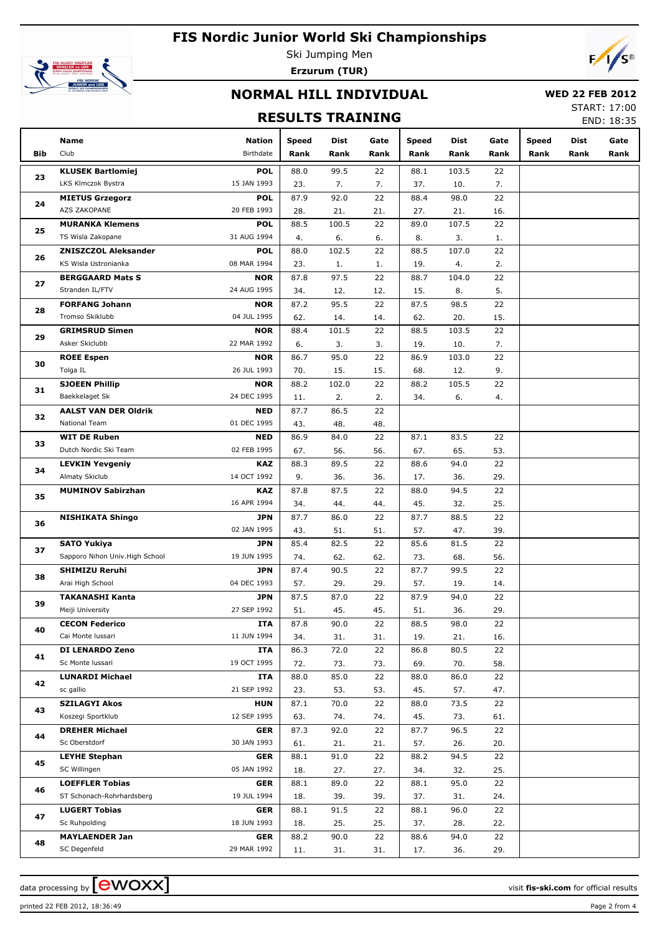

Ski Jumping Men **Erzurum (TUR)**



#### **NORMAL HILL INDIVIDUAL**

#### **WED 22 FEB 2012** START: 17:00

#### **RESULTS TRAINING**

| END: 18:35 |
|------------|

|     | Name                            | Nation      | <b>Speed</b> | Dist  | Gate | <b>Speed</b> | Dist  | Gate | <b>Speed</b> | Dist | Gate |
|-----|---------------------------------|-------------|--------------|-------|------|--------------|-------|------|--------------|------|------|
| Bib | Club                            | Birthdate   | Rank         | Rank  | Rank | Rank         | Rank  | Rank | Rank         | Rank | Rank |
|     | <b>KLUSEK Bartlomiej</b>        | <b>POL</b>  | 88.0         | 99.5  | 22   | 88.1         | 103.5 | 22   |              |      |      |
| 23  | LKS Klmczok Bystra              | 15 JAN 1993 | 23.          | 7.    | 7.   | 37.          | 10.   | 7.   |              |      |      |
|     | <b>MIETUS Grzegorz</b>          | <b>POL</b>  | 87.9         | 92.0  | 22   | 88.4         | 98.0  | 22   |              |      |      |
| 24  | AZS ZAKOPANE                    | 20 FEB 1993 | 28.          | 21.   | 21.  | 27.          | 21.   | 16.  |              |      |      |
|     | <b>MURANKA Klemens</b>          | <b>POL</b>  | 88.5         | 100.5 | 22   | 89.0         | 107.5 | 22   |              |      |      |
| 25  | TS Wisla Zakopane               | 31 AUG 1994 | 4.           | 6.    | 6.   | 8.           | 3.    | 1.   |              |      |      |
|     | <b>ZNISZCZOL Aleksander</b>     | <b>POL</b>  | 88.0         | 102.5 | 22   | 88.5         | 107.0 | 22   |              |      |      |
| 26  | KS Wisla Ustronianka            | 08 MAR 1994 | 23.          | 1.    | 1.   | 19.          | 4.    | 2.   |              |      |      |
|     | <b>BERGGAARD Mats S</b>         | <b>NOR</b>  | 87.8         | 97.5  | 22   | 88.7         | 104.0 | 22   |              |      |      |
| 27  | Stranden IL/FTV                 | 24 AUG 1995 | 34.          | 12.   | 12.  | 15.          | 8.    | 5.   |              |      |      |
|     | <b>FORFANG Johann</b>           | <b>NOR</b>  | 87.2         | 95.5  | 22   | 87.5         | 98.5  | 22   |              |      |      |
| 28  | Tromso Skiklubb                 | 04 JUL 1995 | 62.          | 14.   | 14.  | 62.          | 20.   | 15.  |              |      |      |
|     | <b>GRIMSRUD Simen</b>           | <b>NOR</b>  | 88.4         | 101.5 | 22   | 88.5         | 103.5 | 22   |              |      |      |
| 29  | Asker Skiclubb                  | 22 MAR 1992 | 6.           | 3.    | 3.   | 19.          | 10.   | 7.   |              |      |      |
|     | <b>ROEE Espen</b>               | <b>NOR</b>  | 86.7         | 95.0  | 22   | 86.9         | 103.0 | 22   |              |      |      |
| 30  | Tolga IL                        | 26 JUL 1993 | 70.          | 15.   | 15.  | 68.          | 12.   | 9.   |              |      |      |
|     | <b>SJOEEN Phillip</b>           | <b>NOR</b>  | 88.2         | 102.0 | 22   | 88.2         | 105.5 | 22   |              |      |      |
| 31  | Baekkelaget Sk                  | 24 DEC 1995 | 11.          | 2.    | 2.   | 34.          | 6.    | 4.   |              |      |      |
|     | <b>AALST VAN DER Oldrik</b>     | <b>NED</b>  | 87.7         | 86.5  | 22   |              |       |      |              |      |      |
| 32  | National Team                   | 01 DEC 1995 | 43.          | 48.   | 48.  |              |       |      |              |      |      |
|     | <b>WIT DE Ruben</b>             | <b>NED</b>  | 86.9         | 84.0  | 22   | 87.1         | 83.5  | 22   |              |      |      |
| 33  | Dutch Nordic Ski Team           | 02 FEB 1995 | 67.          | 56.   | 56.  | 67.          | 65.   | 53.  |              |      |      |
|     | <b>LEVKIN Yevgeniy</b>          | <b>KAZ</b>  | 88.3         | 89.5  | 22   | 88.6         | 94.0  | 22   |              |      |      |
| 34  | Almaty Skiclub                  | 14 OCT 1992 | 9.           | 36.   | 36.  | 17.          | 36.   | 29.  |              |      |      |
|     | <b>MUMINOV Sabirzhan</b>        | KAZ         | 87.8         | 87.5  | 22   | 88.0         | 94.5  | 22   |              |      |      |
| 35  |                                 | 16 APR 1994 | 34.          | 44.   | 44.  | 45.          | 32.   | 25.  |              |      |      |
|     | <b>NISHIKATA Shingo</b>         | <b>JPN</b>  | 87.7         | 86.0  | 22   | 87.7         | 88.5  | 22   |              |      |      |
| 36  |                                 | 02 JAN 1995 | 43.          | 51.   | 51.  | 57.          | 47.   | 39.  |              |      |      |
| 37  | <b>SATO Yukiya</b>              | JPN         | 85.4         | 82.5  | 22   | 85.6         | 81.5  | 22   |              |      |      |
|     | Sapporo Nihon Univ. High School | 19 JUN 1995 | 74.          | 62.   | 62.  | 73.          | 68.   | 56.  |              |      |      |
| 38  | <b>SHIMIZU Reruhi</b>           | JPN         | 87.4         | 90.5  | 22   | 87.7         | 99.5  | 22   |              |      |      |
|     | Arai High School                | 04 DEC 1993 | 57.          | 29.   | 29.  | 57.          | 19.   | 14.  |              |      |      |
| 39  | <b>TAKANASHI Kanta</b>          | JPN         | 87.5         | 87.0  | 22   | 87.9         | 94.0  | 22   |              |      |      |
|     | Meiji University                | 27 SEP 1992 | 51.          | 45.   | 45.  | 51.          | 36.   | 29.  |              |      |      |
| 40  | <b>CECON Federico</b>           | <b>ITA</b>  | 87.8         | 90.0  | 22   | 88.5         | 98.0  | 22   |              |      |      |
|     | Cai Monte Iussari               | 11 JUN 1994 | 34.          | 31.   | 31.  | 19.          | 21.   | 16.  |              |      |      |
| 41  | DI LENARDO Zeno                 | ITA         | 86.3         | 72.0  | 22   | 86.8         | 80.5  | 22   |              |      |      |
|     | Sc Monte Iussari                | 19 OCT 1995 | 72.          | 73.   | 73.  | 69.          | 70.   | 58.  |              |      |      |
| 42  | <b>LUNARDI Michael</b>          | ITA         | 88.0         | 85.0  | 22   | 88.0         | 86.0  | 22   |              |      |      |
|     | sc gallio                       | 21 SEP 1992 | 23.          | 53.   | 53.  | 45.          | 57.   | 47.  |              |      |      |
| 43  | <b>SZILAGYI Akos</b>            | <b>HUN</b>  | 87.1         | 70.0  | 22   | 88.0         | 73.5  | 22   |              |      |      |
|     | Koszegi Sportklub               | 12 SEP 1995 | 63.          | 74.   | 74.  | 45.          | 73.   | 61.  |              |      |      |
| 44  | <b>DREHER Michael</b>           | <b>GER</b>  | 87.3         | 92.0  | 22   | 87.7         | 96.5  | 22   |              |      |      |
|     | Sc Oberstdorf                   | 30 JAN 1993 | 61.          | 21.   | 21.  | 57.          | 26.   | 20.  |              |      |      |
| 45  | <b>LEYHE Stephan</b>            | GER         | 88.1         | 91.0  | 22   | 88.2         | 94.5  | 22   |              |      |      |
|     | SC Willingen                    | 05 JAN 1992 | 18.          | 27.   | 27.  | 34.          | 32.   | 25.  |              |      |      |
| 46  | <b>LOEFFLER Tobias</b>          | <b>GER</b>  | 88.1         | 89.0  | 22   | 88.1         | 95.0  | 22   |              |      |      |
|     | ST Schonach-Rohrhardsberg       | 19 JUL 1994 | 18.          | 39.   | 39.  | 37.          | 31.   | 24.  |              |      |      |
| 47  | <b>LUGERT Tobias</b>            | GER         | 88.1         | 91.5  | 22   | 88.1         | 96.0  | 22   |              |      |      |
|     | Sc Ruhpolding                   | 18 JUN 1993 | 18.          | 25.   | 25.  | 37.          | 28.   | 22.  |              |      |      |
| 48  | <b>MAYLAENDER Jan</b>           | GER         | 88.2         | 90.0  | 22   | 88.6         | 94.0  | 22   |              |      |      |
|     | SC Degenfeld                    | 29 MAR 1992 | 11.          | 31.   | 31.  | 17.          | 36.   | 29.  |              |      |      |

data processing by  $\boxed{\text{ewOX}}$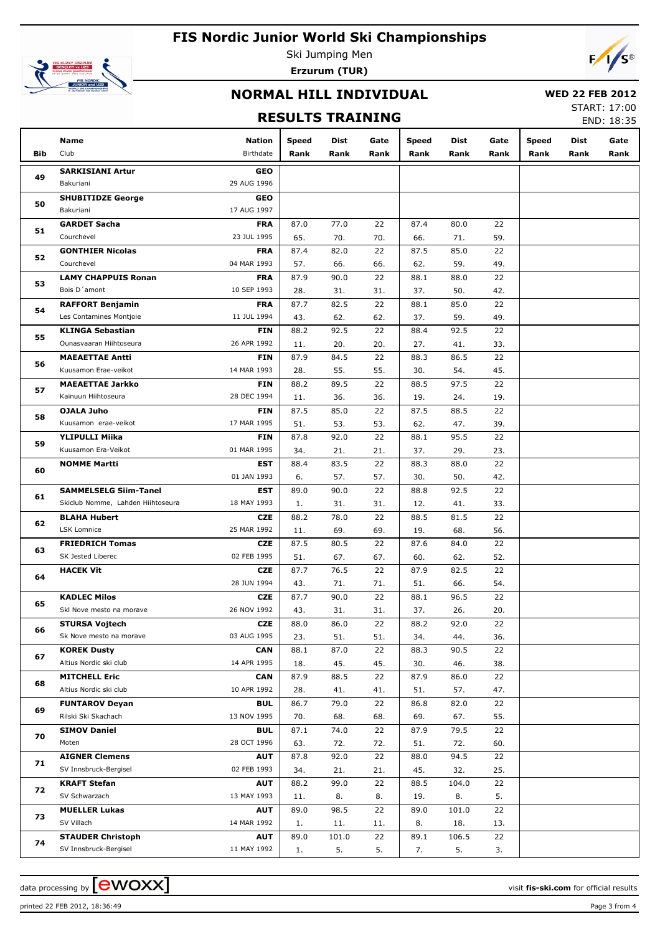

Ski Jumping Men **Erzurum (TUR)**



## **NORMAL HILL INDIVIDUAL**

#### **WED 22 FEB 2012**

## **RESULTS TRAINING**

START: 17:00 END: 18:35

|     | Name                              | <b>Nation</b> | Speed | Dist  | Gate | Speed | Dist  | Gate | Speed | Dist | Gate |
|-----|-----------------------------------|---------------|-------|-------|------|-------|-------|------|-------|------|------|
| Bib | Club                              | Birthdate     | Rank  | Rank  | Rank | Rank  | Rank  | Rank | Rank  | Rank | Rank |
|     | <b>SARKISIANI Artur</b>           | <b>GEO</b>    |       |       |      |       |       |      |       |      |      |
| 49  | Bakuriani                         | 29 AUG 1996   |       |       |      |       |       |      |       |      |      |
|     | <b>SHUBITIDZE George</b>          | <b>GEO</b>    |       |       |      |       |       |      |       |      |      |
| 50  | Bakuriani                         | 17 AUG 1997   |       |       |      |       |       |      |       |      |      |
|     | <b>GARDET Sacha</b>               | <b>FRA</b>    | 87.0  | 77.0  | 22   | 87.4  | 80.0  | 22   |       |      |      |
| 51  | Courchevel                        | 23 JUL 1995   | 65.   | 70.   | 70.  | 66.   | 71.   | 59.  |       |      |      |
|     | <b>GONTHIER Nicolas</b>           | <b>FRA</b>    | 87.4  | 82.0  | 22   | 87.5  | 85.0  | 22   |       |      |      |
| 52  | Courchevel                        | 04 MAR 1993   | 57.   | 66.   | 66.  | 62.   | 59.   | 49.  |       |      |      |
|     | <b>LAMY CHAPPUIS Ronan</b>        | <b>FRA</b>    | 87.9  | 90.0  | 22   | 88.1  | 88.0  | 22   |       |      |      |
| 53  | Bois D'amont                      | 10 SEP 1993   | 28.   | 31.   | 31.  | 37.   | 50.   | 42.  |       |      |      |
|     | <b>RAFFORT Benjamin</b>           | <b>FRA</b>    | 87.7  | 82.5  | 22   | 88.1  | 85.0  | 22   |       |      |      |
| 54  | Les Contamines Montjoie           | 11 JUL 1994   | 43.   | 62.   | 62.  | 37.   | 59.   | 49.  |       |      |      |
|     | <b>KLINGA Sebastian</b>           | <b>FIN</b>    | 88.2  | 92.5  | 22   | 88.4  | 92.5  | 22   |       |      |      |
| 55  | Ounasvaaran Hiihtoseura           | 26 APR 1992   | 11.   | 20.   | 20.  | 27.   | 41.   | 33.  |       |      |      |
|     | <b>MAEAETTAE Antti</b>            | <b>FIN</b>    | 87.9  | 84.5  | 22   | 88.3  | 86.5  | 22   |       |      |      |
| 56  | Kuusamon Erae-veikot              | 14 MAR 1993   | 28.   | 55.   | 55.  | 30.   | 54.   | 45.  |       |      |      |
|     | <b>MAEAETTAE Jarkko</b>           | <b>FIN</b>    | 88.2  | 89.5  | 22   | 88.5  | 97.5  | 22   |       |      |      |
| 57  | Kainuun Hiihtoseura               | 28 DEC 1994   | 11.   | 36.   | 36.  | 19.   | 24.   | 19.  |       |      |      |
|     | <b>OJALA Juho</b>                 | <b>FIN</b>    | 87.5  | 85.0  | 22   | 87.5  | 88.5  | 22   |       |      |      |
| 58  | Kuusamon erae-veikot              | 17 MAR 1995   | 51.   | 53.   | 53.  | 62.   | 47.   | 39.  |       |      |      |
|     | <b>YLIPULLI Miika</b>             | <b>FIN</b>    | 87.8  | 92.0  | 22   | 88.1  | 95.5  | 22   |       |      |      |
| 59  | Kuusamon Era-Veikot               | 01 MAR 1995   | 34.   | 21.   | 21.  | 37.   | 29.   | 23.  |       |      |      |
|     | <b>NOMME Martti</b>               | <b>EST</b>    | 88.4  | 83.5  | 22   | 88.3  | 88.0  | 22   |       |      |      |
| 60  |                                   | 01 JAN 1993   | 6.    | 57.   | 57.  | 30.   | 50.   | 42.  |       |      |      |
|     | <b>SAMMELSELG Siim-Tanel</b>      | <b>EST</b>    | 89.0  | 90.0  | 22   | 88.8  | 92.5  | 22   |       |      |      |
| 61  | Skiclub Nomme, Lahden Hiihtoseura | 18 MAY 1993   | 1.    | 31.   | 31.  | 12.   | 41.   | 33.  |       |      |      |
|     | <b>BLAHA Hubert</b>               | <b>CZE</b>    | 88.2  | 78.0  | 22   | 88.5  | 81.5  | 22   |       |      |      |
| 62  | LSK Lomnice                       | 25 MAR 1992   | 11.   | 69.   | 69.  | 19.   | 68.   | 56.  |       |      |      |
|     | <b>FRIEDRICH Tomas</b>            | <b>CZE</b>    | 87.5  | 80.5  | 22   | 87.6  | 84.0  | 22   |       |      |      |
| 63  | SK Jested Liberec                 | 02 FEB 1995   | 51.   | 67.   | 67.  | 60.   | 62.   | 52.  |       |      |      |
|     | <b>HACEK Vit</b>                  | <b>CZE</b>    | 87.7  | 76.5  | 22   | 87.9  | 82.5  | 22   |       |      |      |
| 64  |                                   | 28 JUN 1994   | 43.   | 71.   | 71.  | 51.   | 66.   | 54.  |       |      |      |
|     | <b>KADLEC Milos</b>               | <b>CZE</b>    | 87.7  | 90.0  | 22   | 88.1  | 96.5  | 22   |       |      |      |
| 65  | Skl Nove mesto na morave          | 26 NOV 1992   | 43.   | 31.   | 31.  | 37.   | 26.   | 20.  |       |      |      |
|     | <b>STURSA Vojtech</b>             | <b>CZE</b>    | 88.0  | 86.0  | 22   | 88.2  | 92.0  | 22   |       |      |      |
| 66  | Sk Nove mesto na morave           | 03 AUG 1995   | 23.   | 51.   | 51.  | 34.   | 44.   | 36.  |       |      |      |
|     | <b>KOREK Dusty</b>                | <b>CAN</b>    | 88.1  | 87.0  | 22   | 88.3  | 90.5  | 22   |       |      |      |
| 67  | Altius Nordic ski club            | 14 APR 1995   | 18.   | 45.   | 45.  | 30.   | 46.   | 38.  |       |      |      |
|     | <b>MITCHELL Eric</b>              | <b>CAN</b>    | 87.9  | 88.5  | 22   | 87.9  | 86.0  | 22   |       |      |      |
| 68  | Altius Nordic ski club            | 10 APR 1992   | 28.   | 41.   | 41.  | 51.   | 57.   | 47.  |       |      |      |
|     | <b>FUNTAROV Deyan</b>             | BUL           | 86.7  | 79.0  | 22   | 86.8  | 82.0  | 22   |       |      |      |
| 69  | Rilski Ski Skachach               | 13 NOV 1995   | 70.   | 68.   | 68.  | 69.   | 67.   | 55.  |       |      |      |
|     | <b>SIMOV Daniel</b>               | BUL           | 87.1  | 74.0  | 22   | 87.9  | 79.5  | 22   |       |      |      |
| 70  | Moten                             | 28 OCT 1996   | 63.   | 72.   | 72.  | 51.   | 72.   | 60.  |       |      |      |
| 71  | <b>AIGNER Clemens</b>             | <b>AUT</b>    | 87.8  | 92.0  | 22   | 88.0  | 94.5  | 22   |       |      |      |
|     | SV Innsbruck-Bergisel             | 02 FEB 1993   | 34.   | 21.   | 21.  | 45.   | 32.   | 25.  |       |      |      |
|     | <b>KRAFT Stefan</b>               | <b>AUT</b>    | 88.2  | 99.0  | 22   | 88.5  | 104.0 | 22   |       |      |      |
| 72  | SV Schwarzach                     | 13 MAY 1993   | 11.   | 8.    | 8.   | 19.   | 8.    | 5.   |       |      |      |
| 73  | <b>MUELLER Lukas</b>              | <b>AUT</b>    | 89.0  | 98.5  | 22   | 89.0  | 101.0 | 22   |       |      |      |
|     | SV Villach                        | 14 MAR 1992   | 1.    | 11.   | 11.  | 8.    | 18.   | 13.  |       |      |      |
| 74  | <b>STAUDER Christoph</b>          | <b>AUT</b>    | 89.0  | 101.0 | 22   | 89.1  | 106.5 | 22   |       |      |      |
|     | SV Innsbruck-Bergisel             | 11 MAY 1992   | 1.    | 5.    | 5.   | 7.    | 5.    | 3.   |       |      |      |

printed 22 FEB 2012, 18:36:49 Page 3 from 4

data processing by **CWOXX** and  $\overline{A}$  wisit **fis-ski.com** for official results